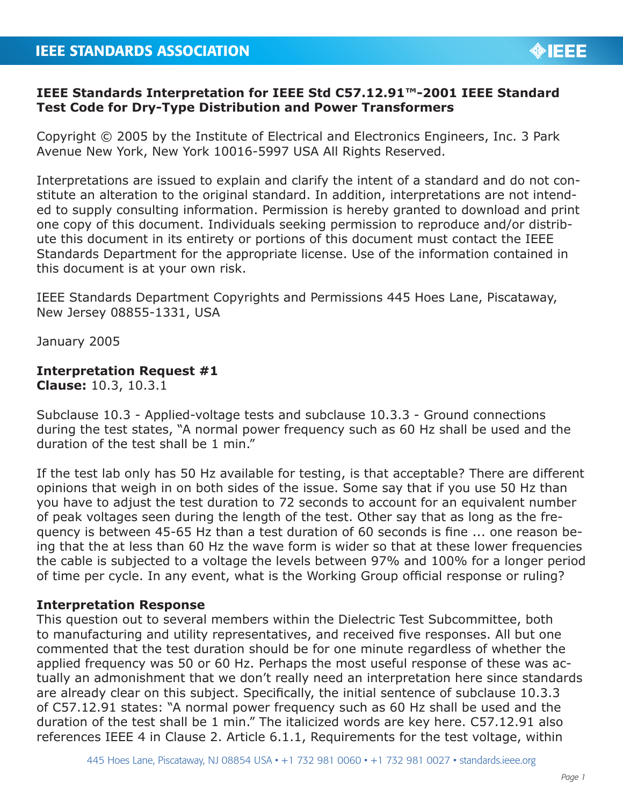## **IEEE Standards Interpretation for IEEE Std C57.12.91™-2001 IEEE Standard Test Code for Dry-Type Distribution and Power Transformers**

Copyright © 2005 by the Institute of Electrical and Electronics Engineers, Inc. 3 Park Avenue New York, New York 10016-5997 USA All Rights Reserved.

Interpretations are issued to explain and clarify the intent of a standard and do not constitute an alteration to the original standard. In addition, interpretations are not intended to supply consulting information. Permission is hereby granted to download and print one copy of this document. Individuals seeking permission to reproduce and/or distribute this document in its entirety or portions of this document must contact the IEEE Standards Department for the appropriate license. Use of the information contained in this document is at your own risk.

IEEE Standards Department Copyrights and Permissions 445 Hoes Lane, Piscataway, New Jersey 08855-1331, USA

January 2005

## **Interpretation Request #1**

**Clause:** 10.3, 10.3.1

Subclause 10.3 - Applied-voltage tests and subclause 10.3.3 - Ground connections during the test states, "A normal power frequency such as 60 Hz shall be used and the duration of the test shall be 1 min."

If the test lab only has 50 Hz available for testing, is that acceptable? There are different opinions that weigh in on both sides of the issue. Some say that if you use 50 Hz than you have to adjust the test duration to 72 seconds to account for an equivalent number of peak voltages seen during the length of the test. Other say that as long as the frequency is between 45-65 Hz than a test duration of 60 seconds is fine ... one reason being that the at less than 60 Hz the wave form is wider so that at these lower frequencies the cable is subjected to a voltage the levels between 97% and 100% for a longer period of time per cycle. In any event, what is the Working Group official response or ruling?

## **Interpretation Response**

This question out to several members within the Dielectric Test Subcommittee, both to manufacturing and utility representatives, and received five responses. All but one commented that the test duration should be for one minute regardless of whether the applied frequency was 50 or 60 Hz. Perhaps the most useful response of these was actually an admonishment that we don't really need an interpretation here since standards are already clear on this subject. Specifically, the initial sentence of subclause 10.3.3 of C57.12.91 states: "A normal power frequency such as 60 Hz shall be used and the duration of the test shall be 1 min." The italicized words are key here. C57.12.91 also references IEEE 4 in Clause 2. Article 6.1.1, Requirements for the test voltage, within